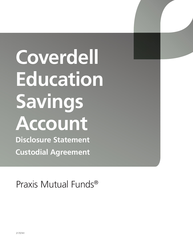# **Coverdell Education Savings Account**

**Disclosure Statement Custodial Agreement**

Praxis Mutual Funds®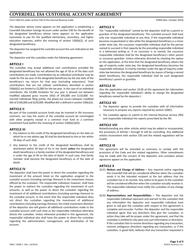# **COVERDELL ESA CUSTODIAL ACCOUNT AGREEMENT**

Form 5305-EA under section 530 of the Internal Revenue Code. The Internal Revenue Code. FORM (Rev. October 2010)

The depositor whose name appears on the application is establishing a Coverdell Education Savings Account under section 530 for the benefit of the designated beneficiary whose name appears on the application exclusively to pay for the qualified elementary, secondary, and higher education expenses, within the meaning of section 530(b)(2), of such designated beneficiary.

The depositor has assigned the custodial account the sum indicated on the application.

The depositor and the custodian make the following agreement:

#### **ARTICLE I**

The custodian may accept additional cash contributions provided the designated beneficiary has not attained the age of 18 as of the date such contributions are made. Contributions by an individual contributor may be made for the tax year of the designated beneficiary by the due date of the beneficiary's tax return for that year (excluding extensions). Total contributions that are not rollover contributions described in section 530(d)(5) are limited to \$2,000 for the tax year. In the case of an individual contributor, the \$2,000 limitation for any year is phased out between modified adjusted gross income (AGI) of \$95,000 and \$110,000. For married individuals filing jointly, the phase-out occurs between modified AGI of \$190,000 and \$220,000. Modified AGI is defined in section 530(c)(2).

#### **ARTICLE II**

No part of the custodial account funds may be invested in life insurance contracts, nor may the assets of the custodial account be commingled with other property except in a common trust fund or a common investment fund (within the meaning of section 530(b)(1)(D)).

#### **ARTICLE III**

- 1. Any balance to the credit of the designated beneficiary on the date on which he or she attains age 30 shall be distributed to him or her within 30 days of such date.
- 2. Any balance to the credit of the designated beneficiary shall be distributed within 30 days of his or her death **unless** the designated death beneficiary is a family member of the designated beneficiary and is under the age of 30 on the date of death. In such case, that family member shall become the designated beneficiary as of the date of death.

#### **ARTICLE IV**

The depositor shall have the power to direct the custodian regarding the investment of the amount listed on the application assigned to the custodial account (including earnings thereon) in the investment choices offered by the custodian. The responsible individual, however, shall have the power to redirect the custodian regarding the investment of such amounts, as well as the power to direct the custodian regarding the investment of all additional contributions (including earnings thereon) to the custodial account. In the event that the responsible individual does not direct the custodian regarding the investment of additional contributions (including earnings thereon), the initial investment direction of the depositor also will govern all additional contributions made to the custodial account until such time as the responsible individual otherwise directs the custodian. Unless otherwise provided in this agreement, the responsible individual also shall have the power to direct the custodian regarding the administration, management, and distribution of the account.

#### **ARTICLE V**

The "responsible individual" named by the depositor shall be a parent or guardian of the designated beneficiary. The custodial account shall have only one responsible individual at any time. If the responsible individual becomes incapacitated or dies while the designated beneficiary is a minor under state law, the successor responsible individual shall be the person named to succeed in that capacity by the preceding responsible individual in a witnessed writing or, if no successor is so named, the successor responsible individual shall be the designated beneficiary's other parent or successor guardian. Unless otherwise directed by checking the option on the application, at the time that the designated beneficiary attains the age of majority under state law, the designated beneficiary becomes the responsible individual. If a family member under the age of majority under state law becomes the designated beneficiary by reason of being a named death beneficiary, the responsible individual shall be such designated beneficiary's parent or guardian.

### **ARTICLE VI**

*(See the application and section 10.06 of this agreement for information regarding the responsible individual's ability to change the designated beneficiary named by the depositor.)*

#### **ARTICLE VII**

- 1. The depositor agrees to provide the custodian with all information necessary to prepare any reports required by section 530(h).
- 2. The custodian agrees to submit to the Internal Revenue Service (IRS) and responsible individual the reports prescribed by the IRS.

#### **ARTICLE VIII**

Notwithstanding any other articles which may be added or incorporated, the provisions of Articles I through III will be controlling. Any additional articles inconsistent with section 530 and the related regulations will be invalid.

#### **ARTICLE IX**

This agreement will be amended as necessary to comply with the provisions of the Code and the related regulations. Other amendments may be made with the consent of the depositor and custodian whose signatures appear on the application.

#### **ARTICLE X**

- 10.01 **Notices and Change of Address –** Any required notice regarding this Coverdell ESA will be considered effective when the custodian sends it to the intended recipient at the last address that the custodian has in its records. Any notice to be given to the custodian will be considered effective when the custodian actually receives it. The responsible individual must notify the custodian of any change of address.
- 10.02 **Representations and Responsibilities –** The depositor and the responsible individual represent and warrant to the custodian that any information the depositor and responsible individual have given or will give the custodian with respect to this agreement is complete and accurate. Further, the depositor and the responsible individual agree that any directions they give the custodian, or action they take will be proper under this agreement, and that the custodian is entitled to rely upon any such information or directions. If the custodian fails to receive directions regarding any transaction, receives ambiguous directions regarding any transaction, or if the custodian, in good faith, believes that any transaction requested is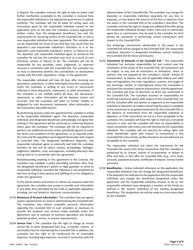in dispute, the custodian reserves the right to take no action until further clarification acceptable to the custodian is received from the responsible individual or the appropriate government or judicial authority. The custodian will not be liable for acting upon any instructions given by the responsible individual named on the application prior to the time the custodian receives appropriate written notice that the designated beneficiary has met the requirements for assuming control of the Coverdell ESA, or that a new responsible individual has been appointed. The custodian will not be responsible for losses of any kind that may result from the depositor's and responsible individual's directions to it or the depositor's and responsible individual's actions, or failures to act. The depositor and responsible individual agree to reimburse the custodian for any loss the custodian may incur as a result of such directions, actions or failures to act. The custodian will not be responsible for any penalties, taxes, judgments, or expenses incurred in connection with this Coverdell ESA. The custodian has no duty to determine whether the contributions or distributions comply with the Code, regulations, rulings, or this agreement.

The responsible individual will have 60 days after receiving any documents, statements, or other information from the custodian to notify the custodian in writing of any errors or inaccuracies reflected in these documents, statements, or other information. If the custodian is not notified within 60 days, the documents, statements, or other information will be deemed correct and accurate, and the custodian will have no further liability or obligation for such documents, statements, other information, or the transactions described therein.

By performing services under this agreement the custodian is acting as the responsible individual's agent. The depositor, responsible individual, and designated beneficiary acknowledge and agree that nothing in this agreement will be construed as conferring fiduciary status upon the custodian. The custodian will not be required to perform any additional services unless specifically agreed to under the terms and conditions of this agreement, or as required under the Code and the regulations promulgated thereunder with respect to Coverdell ESAs. The designated beneficiary, depositor, and responsible individual agree to indemnify and hold the custodian harmless for any and all claims, actions, proceedings, damages, judgments, liabilities, costs, and expenses, including attorney's fees arising from or in connection with this agreement.

Notwithstanding anything in this agreement to the contrary, the custodian may establish a policy permitting someone other than the designated beneficiary's parent or legal guardian to serve as responsible individual, provided the individual is not prohibited by law from serving in that capacity and fulfilling his or her obligations under this agreement.

To the extent written instructions or notices are required under this agreement, the custodian may accept or provide such information in any other form permitted by the Code or applicable regulations including, but not limited to, electronic communication.

- 10.03 **Disclosure of Account Information –** The custodian may use agents and/or subcontractors to assist in administering this Coverdell ESA. The custodian may release nonpublic personal information regarding this Coverdell ESA to such providers as necessary to provide the products and services made available under this agreement, and to evaluate its business operations and analyze potential product, service, or process improvements.
- 10.04 **Service Fees –** The custodian has the right to charge an annual service fee or other designated fees (e.g., a transfer, rollover, or termination fee) for maintaining this Coverdell ESA. In addition, the custodian has the right to be reimbursed for all reasonable expenses, including legal expenses, incurred in connection with the

administration of this Coverdell ESA. The custodian may charge the depositor or responsible individual separately for any fees or expenses, or may deduct the amount of the fees or expenses from the assets in this Coverdell ESA at the custodian's discretion. The custodian reserves the right to charge any additional fee after giving the responsible individual 30 days' notice. Fees such as subtransfer agent fees or commissions may be paid to the custodian by third parties for assistance in performing certain transactions with respect to this Coverdell ESA.

Any brokerage commissions attributable to the assets in the Coverdell ESA will be charged to the Coverdell ESA. The responsible individual, depositor or designated beneficiary cannot reimburse the Coverdell ESA for those commissions.

10.05 **Investment of Amounts in the Coverdell ESA –** The responsible individual has exclusive responsibility for and control over the investment of the assets of this Coverdell ESA. All transactions will be subject to any and all restrictions or limitations, direct or indirect, that are imposed by the custodian's charter, articles of incorporation, or bylaws; any and all applicable federal and state laws and regulations; the rules, regulations, customs, and usages of any exchange, market, or clearinghouse where the transaction is executed; the custodian's policies and practices; and this agreement. The custodian will have no discretion to direct any investment in this Coverdell ESA. The custodian assumes no responsibility for rendering investment advice with respect to this Coverdell ESA, nor will the custodian offer any opinion or judgment to the responsible individual or depositor on matters concerning the value or suitability of any investment or proposed investment for this Coverdell ESA. In the absence of instructions from the responsible individual or depositor, or if the instructions are not in a form acceptable to the custodian, the custodian will have the right to hold any uninvested amounts in cash, and the custodian will have no responsibility to invest uninvested cash unless and until directed by the responsible individual. The custodian will not exercise the voting rights and other shareholder rights with respect to investments in this Coverdell ESA unless timely, written directions are provided and are acceptable to the custodian.

The responsible individual will select the investment for the Coverdell ESA assets from those investments that the custodian is authorized by its charter, articles of incorporation, or bylaws to offer and does in fact offer for Coverdell ESAs (e.g., term share accounts, passbook accounts, certificates of deposit, money market accounts).

10.06 **Beneficiaries –** Unless indicated otherwise on the application, the responsible individual may not change the designated beneficiary. If the depositor has indicated on the application that the responsible individual may change the beneficiary designated under this agreement and the responsible individual chooses to do so, the responsible individual must designate a member of the family (as defined in IRC Section 529(e)(2)) of the existing designated beneficiary. This designation can only be made on a form prescribed by the custodian.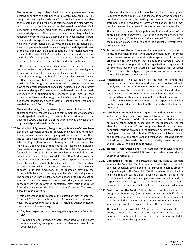The depositor or responsible individual may designate one or more persons or entities as death beneficiaries of this Coverdell ESA. This designation can only be made on a form provided by or acceptable to the custodian, and it will only be effective when it is filed with the custodian during the lifetime of the designated beneficiary. Each beneficiary designation filed with the custodian will cancel all previous designations. The consent of a death beneficiary will not be required in order to revoke a death beneficiary designation. If both primary and contingent death beneficiaries have been named, and no primary death beneficiary survives the designated beneficiary, the contingent death beneficiaries will acquire the designated share of this Coverdell ESA. If a death beneficiary is not designated with respect to this Coverdell ESA, or if all of the primary and contingent death beneficiaries predecease the designated beneficiary, the designated beneficiary's estate will be the death beneficiary.

If the designated beneficiary dies before receiving all of the amounts in this Coverdell ESA, the custodian will have no obligation to pay to the death beneficiaries until such time the custodian is notified of the designated beneficiary's death by receiving a valid death certificate. Any balance remaining in the Coverdell ESA upon the death of the designated beneficiary will be distributed within 30 days of the designated beneficiary's death, unless a qualified family member under age 30 is named as a death beneficiary. If the death beneficiary is a qualified family member under age 30, that individual will become the designated beneficiary as of the original designated beneficiary's date of death. Qualified family members are defined in IRC Section 529(e)(2).

The custodian may, for any reason (e.g., due to limitations of its charter or bylaws), require a qualified family member who becomes the designated beneficiary to take a total distribution of the Coverdell ESA by December 31 of the year following the year of the original designated beneficiary's death.

10.07 **Termination of Agreement, Resignation, or Removal of Custodian –** Either the custodian or the responsible individual may terminate this agreement at any time by giving written notice to the other. The custodian can resign as custodian at any time effective 30 days after sending written notice of its resignation to the responsible individual. Upon receipt of that notice, the responsible individual must make arrangements to transfer the Coverdell ESA to another financial organization. If the responsible individual does not complete a transfer of the Coverdell ESA within 30 days from the date the custodian sends the notice to the responsible individual, the custodian has the right to transfer the Coverdell ESA assets to a successor Coverdell ESA trustee or custodian that the custodian chooses in its sole discretion, or the custodian may pay the Coverdell ESA balance to the designated beneficiary in a single sum. The custodian will not be liable for any actions or failures to act on the part of any successor trustee or custodian, nor for any tax consequences the designated beneficiary may incur that result from the transfer or distribution of the Coverdell ESA assets pursuant to this section.

If this agreement is terminated, the custodian may charge the Coverdell ESA a reasonable amount of money that it believes is necessary to cover any associated costs, including but not limited to one or more of the following.

- Any fees, expenses, or taxes chargeable against the Coverdell ESA
- Any penalties or surrender charges associated with the early withdrawal of any savings instrument or other investment in the Coverdell ESA

If the custodian is a nonbank custodian required to comply with Regulations section 1.408-2(e) and fails to do so or the custodian is not keeping the records, making the returns or sending the statements as are required by forms or regulations, the IRS may require the custodian to substitute another trustee or custodian.

The custodian may establish a policy requiring distribution of the entire balance of this Coverdell ESA to the designated beneficiary in cash or property if the balance of this Coverdell ESA drops below the minimum balance required under the applicable investment or policy established.

- 10.08 **Successor Custodian –** If the custodian's organization changes its name, reorganizes, merges with another organization (or comes under the control of any federal or state agency), or if the entire organization (or any portion that includes this Coverdell ESA) is bought by another organization, that organization (or agency) will automatically become the trustee or custodian of this Coverdell ESA, but only if it is the type of organization authorized to serve as a Coverdell ESA trustee or custodian.
- 10.09 **Amendments –** The custodian has the right to amend this agreement at any time. Any amendment the custodian makes to comply with the Internal Revenue Code and related regulations does not require the consent of either the responsible individual or the depositor. The responsible individual will be deemed to have consented to any other amendment unless, within 30 days from the date the custodian sends the amendment, the responsible individual notifies the custodian in writing that the responsible individual does not consent.
- 10.10 **Withdrawals or Transfers –** All requests for withdrawal or transfer will be in writing on a form provided by or acceptable to the custodian. The method of distribution must be specified in writing or in any other method acceptable to the custodian. The tax identification number of the designated beneficiary or death beneficiary must be provided to the custodian before the custodian is obligated to make a distribution. Withdrawals will be subject to all applicable tax and other laws and regulations, including but not limited to possible early distribution penalty taxes, surrender charges, and withholding requirements.
- 10.11 **Transfers From Other Plans –** The custodian can receive amounts transferred to the Coverdell ESA from the trustee or custodian of another Coverdell ESA.
- 10.12 **Liquidation of Assets –** The custodian has the right to liquidate assets in the Coverdell ESA if necessary to make distributions or to pay fees, expenses, taxes, penalties, or surrender charges properly chargeable against the Coverdell ESA. If the responsible individual fails to direct the custodian as to which assets to liquidate, the custodian will decide, in its complete and sole discretion, and the responsible individual agrees not to hold the custodian liable for any adverse consequences that result from the custodian's decision.
- 10.13 **Restrictions on the Fund –** Neither the responsible individual, the designated beneficiary (nor anyone acting on behalf of the designated beneficiary), the depositor nor any contributor may sell, transfer or pledge any interest in the Coverdell ESA in any manner whatsoever, except as provided by law or this agreement.

The assets in the Coverdell ESA will not be responsible for the debts, contracts, or torts of the responsible individual, the designated beneficiary, the depositor, or any person entitled to distributions under this agreement.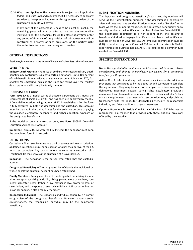10.14 **What Law Applies –** This agreement is subject to all applicable federal and state laws and regulations. If it is necessary to apply any state law to interpret and administer this agreement, the law of the custodian's domicile will govern.

If any part of this agreement is held to be illegal or invalid, the remaining parts will not be affected. Neither the responsible individual's nor the custodian's failure to enforce at any time or for any period of time any of the provisions of this agreement will be construed as a waiver of such provisions, or the parties' right thereafter to enforce each and every such provision.

### **GENERAL INSTRUCTIONS**

*Section references are to the Internal Revenue Code unless otherwise noted.*

#### **WHAT'S NEW**

**Military Death Gratuity –** Families of soldiers who receive military death benefits may contribute, subject to certain limitations, up to 100 percent of such benefits into an educational savings account. Publication 970, *Tax Benefits for Education,* explains the rules for rolling over the military death gratuity and lists eligible family members.

#### **PURPOSE OF FORM**

Form 5305-EA is a model custodial account agreement that meets the requirements of section 530(b)(1) and has been pre-approved by the IRS. A Coverdell education savings account (ESA) is established after the form is fully executed by both the depositor and the custodian. This account must be created in the United States for the exclusive purpose of paying the qualified elementary, secondary, and higher education expenses of the designated beneficiary.

If the model account is a trust account, see **Form 5305-E**, Coverdell Education Savings Trust Account.

**Do not** file Form 5305-EA with the IRS. Instead, the depositor must keep the completed form in its records.

#### **DEFINITIONS**

**Custodian –** The custodian must be a bank or savings and loan association, as defined in section 408(n), or any person who has the approval of the IRS to act as custodian. Any person who may serve as a custodian of a Traditional IRA may serve as the custodian of a Coverdell ESA.

**Depositor –** The depositor is the person who establishes the custodial account.

**Designated Beneficiary –** The designated beneficiary is the individual on whose behalf the custodial account has been established.

**Family Member –** Family members of the designated beneficiary include his or her spouse, child, grandchild, sibling, parent, niece or nephew, sonin-law, daughter-in-law, father-in-law, mother-in-law, brother-in-law, or sister-in-law, and the spouse of any such individual. A first cousin, but not his or her spouse, is also a "family member."

**Responsible Individual –** The responsible individual, generally, is a parent or guardian of the designated beneficiary. However, under certain circumstances, the responsible individual may be the designated beneficiary.

# **IDENTIFICATION NUMBERS**

The depositor and designated beneficiary's social security numbers will serve as their identification numbers. If the depositor is a nonresident alien and does not have an identification number, write "Foreign" in the block where the number is requested. The designated beneficiary's social security number is the identification number of his or her Coverdell ESA. If the designated beneficiary is a nonresident alien, the designated beneficiary's individual taxpayer identification number is the identification number of his or her Coverdell ESA. An employer identification number (EIN) is required only for a Coverdell ESA for which a return is filed to report unrelated business income. An EIN is required for a common fund created for Coverdell ESAs.

# **SPECIFIC INSTRUCTIONS**

**Note:** *The age limitation restricting contributions, distributions, rollover contributions, and change of beneficiary are waived for a designated beneficiary with special needs.*

**Article X –** Article X and any that follow may incorporate additional provisions that are agreed to by the depositor and custodian to complete the agreement. They may include, for example, provisions relating to: definitions, investment powers, voting rights, exculpatory provisions, amendment and termination, removal of the custodian, custodian's fees, state law requirements, treatment of excess contributions, and prohibited transactions with the depositor, designated beneficiary, or responsible individual, etc. Attach additional pages as necessary.

**Optional Provisions in Article V and Article VI –** Form 5305-EA may be reproduced in a manner that provides only those optional provisions offered by the custodian.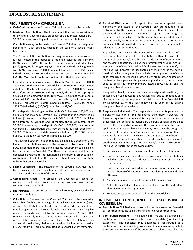# **REQUIREMENTS OF A COVERDELL ESA**

- A. **Cash Contributions –** A Coverdell ESA contribution must be in cash.
- B. **Maximum Contribution –** The total amount that may be contributed to any and all Coverdell ESAs on behalf of a designated beneficiary is \$2,000 per year, excluding rollover and transfer contributions.

Contributions may not be made to a Coverdell ESA after the designated beneficiary's 18th birthday, except in the case of a special needs beneficiary.

The Coverdell ESA contribution that may be made by a depositor is further limited if the depositor's modified adjusted gross income (MAGI) exceeds \$190,000 and he or she is a married individual filing jointly (\$95,000 for single taxpayers). Married individuals filing jointly with MAGI exceeding \$220,000 may not fund a Coverdell ESA. Single individuals with MAGI exceeding \$110,000 may not fund a Coverdell ESA. The MAGI limits apply only to depositors that are individuals.

If the depositor is married filing jointly with MAGI between \$190,000 and \$220,000, the maximum Coverdell ESA contribution is determined as follows: (1) subtract the depositor's MAGI from \$220,000, (2) divide the difference by \$30,000, and (3) multiply the result in step (2) by \$2,000. For example, if the depositor's MAGI is \$205,000, the maximum Coverdell ESA contribution that may be made by such depositor is \$1,000. This amount is determined as follows: [(\$220,000 minus \$205,000) divided by \$30,000] multiplied by \$2,000.

If the depositor is a single tax filer with MAGI between \$95,000 and \$110,000, the maximum Coverdell ESA contribution is determined as follows: (1) subtract the depositor's MAGI from \$110,000, (2) divide the difference by \$15,000, and (3) multiply the result in step (2) by \$2,000. For example, if the depositor's MAGI is \$98,000, the maximum Coverdell ESA contribution that may be made by such depositor is \$1,600. This amount is determined as follows: [(\$110,000 minus \$98,000) divided by \$15,000] multiplied by \$2,000.

The Coverdell ESA contribution that may be made by a depositor is not limited by contributions made by the depositor to Traditional or Roth IRAs. In addition, there is no earned income requirement to be eligible to contribute to a Coverdell ESA. There is no requirement that the depositor be related to the designated beneficiary in order to make contributions. In addition, the designated beneficiary may contribute to his or her own Coverdell ESA.

- C. **Eligible Custodians –** The custodian of the Coverdell ESA must be a bank, savings and loan association, credit union, or person or entity approved by the Secretary of the Treasury.
- D. **Commingling Assets –** The assets of the Coverdell ESA cannot be commingled with other property except in a common trust fund or common investment fund.
- E. **Life Insurance –** No portion of the Coverdell ESA may be invested in life insurance contracts.
- F. **Collectibles –** The assets of the Coverdell ESA may not be invested in collectibles (within the meaning of Internal Revenue Code (IRC) Sec. 408(m)). A collectible is defined as any work of art, rug or antique, metal or gem, stamp or coin, alcoholic beverage, or other tangible personal property specified by the Internal Revenue Service (IRS). However, specially minted United States gold and silver coins, and certain state-issued coins are permissible investments. Platinum coins and certain gold, silver, platinum or palladium bullion (as described in IRC Sec. 408(m)(3)) are also permitted as Coverdell ESA investments.

G. **Required Distributions –** Except in the case of a special needs beneficiary, the assets of the Coverdell ESA are required to be distributed to the designated beneficiary within 30 days of the designated beneficiary's attainment of age 30. The designated beneficiary will be subject to both income tax and an additional 10 percent penalty tax on the portion of the distribution that represents earnings, if the designated beneficiary does not have any qualified education expenses in that year.

Any balance remaining in the Coverdell ESA upon the death of the designated beneficiary will be distributed within 30 days of the designated beneficiary's death, unless a death beneficiary is named and the death beneficiary is a qualified family member under age 30. If the death beneficiary is a qualified family member under age 30, that individual will become the designated beneficiary as of the date of death. Qualified family members include the designated beneficiary's child, grandchild, or stepchild, brother, sister, stepbrother, or stepsister, nephew or niece, parents, stepparents, or grandparents, uncle or aunt, spouses of all the family members listed above, cousin, and the designated beneficiary's spouse.

If a qualified family member becomes the designated beneficiary, the custodian, if it so chooses for any reason (e.g., due to limitations of its charter or bylaws), may require a total distribution of the Coverdell ESA by December 31 of the year following the year of the original designated beneficiary's death.

- H. **Responsible Individual –** The responsible individual is generally the parent or guardian of the designated beneficiary. However, the financial organization may establish a policy that permits someone other than the designated beneficiary's parent or legal guardian to serve as the responsible individual. Unless otherwise indicated on the application, the responsible individual may not change the designated beneficiary. If the depositor has indicated on the application that the responsible individual may change the designated beneficiary, the responsible individual may change the designated beneficiary to another member of the designated beneficiary's family. The responsible individual will perform the following duties.
	- 1. Receive a copy of the plan agreement and disclosure statement,
	- 2. Direct the custodian regarding the investment of contributions, including the ability to redirect the investment of the initial contribution,
	- 3. Direct the custodian regarding the administration, management and distribution of the account, unless the plan agreement indicates otherwise,
	- 4. Name a successor responsible individual if the need arises,
	- 5. Notify the custodian of any address change for the individuals identified on the plan agreement,
	- 6. Remove excess contributions made to the Coverdell ESA.

# **INCOME TAX CONSEQUENCES OF ESTABLISHING A COVERDELL ESA**

- A. **Contributions Not Deducted –** No deduction is allowed for Coverdell ESA contributions, including transfer and rollover contributions.
- B. **Contribution Deadline –** The deadline for making a Coverdell ESA contribution is the depositor's tax return due date (not including extensions). The depositor may designate a contribution as a contribution for the preceding taxable year in a manner acceptable to the custodian. For example, if the depositor is a calendar-year filer and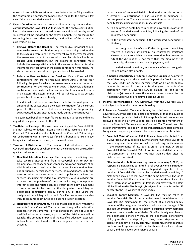makes a Coverdell ESA contribution on or before the tax filing deadline, the contribution is considered to have been made for the previous tax year if the depositor designates it as such.

- C. **Excess Contributions –** An excess contribution is any amount that is contributed to the Coverdell ESA that exceeds the eligible contribution limit. If the excess is not corrected timely, an additional penalty tax of six percent will be imposed on the excess amount. The procedure for correcting the excess is determined by the timeliness of the correction as identified below.
	- 1. **Removal Before the Deadline.** The responsible individual should remove the excess contribution along with the earnings attributable to the excess, before June 1 of the year following the year for which the excess was made. An excess withdrawn by this deadline is not taxable upon distribution, but the designated beneficiary must include the earnings attributable to the excess in his or her taxable income for the year in which the excess contribution was made. The six percent excess contribution penalty tax will be avoided.
	- 2. **Failure to Remove Before the Deadline.** Excess Coverdell ESA contributions that are not removed before June 1 of the year following the year for which the excess was made, are treated as contributions for the next calendar year. If, however, additional contributions are made for that year and the total amount results in an excess, the excess amount will be subject to a six percent penalty tax if not removed timely.

If additional contributions have been made for the next year, the amount of the excess equals the excess contribution for the current year, plus the excess contributions remaining from the preceding year, reduced by any distributions made during the current year.

The designated beneficiary must file IRS form 5329 to report and remit any additional penalty taxes to the IRS.

- D. **Tax-Deferred Earnings –** The investment earnings of the Coverdell ESA are not subject to federal income tax as they accumulate in the Coverdell ESA. In addition, distributions of the Coverdell ESA earnings will be free from federal income tax if the distributions are taken to pay for qualified education expenses, as discussed below.
- E. **Taxation of Distributions –** The taxation of distributions from the Coverdell ESA depends on whether or not the distributions are used for qualified education expenses.
	- 1. **Qualified Education Expenses.** The designated beneficiary may take tax-free distributions from a Coverdell ESA to pay for elementary, secondary or post-secondary education expenses at an eligible educational institution. Such expenses include tuition, fees, books, supplies, special needs services, room and board, uniforms, transportation, academic tutoring and supplementary items or services (including extended day programs). Also qualifying are expenses for the purchase of computer technology or equipment, Internet access and related services, if such technology, equipment or services are to be used by the designated beneficiary or designated beneficiary's family during any of the years the designated beneficiary is in school. Qualified expenses may also include amounts contributed to a qualified tuition program.
	- 2. **Nonqualifying Distributions.** If a designated beneficiary withdraws amounts from a Coverdell ESA that exceed the qualified education expenses for the same year, or the distributions are not used for qualified education expenses, a portion of the distributions will be taxable. The amount in excess of the qualified education expenses is taxable pro rata, based on the earnings and the basis in the account.

In most cases of a nonqualified distribution, the taxable portion of a Coverdell ESA distribution is also subject to an additional 10 percent penalty tax. There are several exceptions to the 10 percent penalty tax including distributions made payable

- a. to a designated death beneficiary of the Coverdell ESA or to the estate of the designated beneficiary following the death of the designated beneficiary;
- b. to the designated beneficiary if the designated beneficiary is disabled;
- c. to the designated beneficiary if the designated beneficiary received a qualified scholarship, an educational assistance allowance or an excludable payment exception, but only to the extent the distribution is not more than the amount of the scholarship, allowance or excludable payment, and
- d. to the designated beneficiary as a removal of excess along with the net income attributable.
- 3. **American Opportunity or Lifetime Learning Credits.** A designated beneficiary may claim the American Opportunity Credit (formerly the Hope Credit) or Lifetime Learning Credit on his or her federal income tax return in the same taxable year that a tax-free distribution from a Coverdell ESA is claimed, as long as the distribution(s) does not cover the same expenses claimed for the American Opportunity or Lifetime Learning Credit.
- F. **Income Tax Withholding –** Any withdrawal from the Coverdell ESA is not subject to federal income tax withholding.
- G. **Rollovers –** Coverdell ESA amounts may be rolled over to another Coverdell ESA of the same designated beneficiary or that of a qualified family member, provided that all of the applicable rollover rules are followed. Rollover is a term used to describe a tax-free movement of cash to a Coverdell ESA from another Coverdell ESA. The rollover rules are generally summarized below. These transactions are often complex. For questions regarding a rollover, please see a competent tax advisor.
	- 1. **Coverdell ESA-to-Coverdell ESA Rollovers.** Assets distributed from a Coverdell ESA may be rolled over to another Coverdell ESA of the same designated beneficiary or that of a qualifying family member if the requirements of IRC Sec. 530(d)(5) are met. A proper Coverdell ESA-to-Coverdell ESA rollover is completed if all or part of the distribution is rolled over not later than 60 days after the distribution is received.

**Effective for distributions occurring on or afterJanuary 1, 2015,** the responsible individual is permitted to roll over only one distribution from a Coverdell ESA in a 12-month period, regardless of the number of Coverdell ESAs owned by the designated beneficiary. A distribution may be rolled over to the same Coverdell ESA or to another Coverdell ESA that is eligible to receive the rollover. For more information on rollover limitations, you may wish to obtain IRS Publication 970, *Tax Benefits for Higher Education,* from the IRS or refer to the IRS website at www.irs.gov.

2. **Qualified Family Member.** A Coverdell ESA may be rolled to another Coverdell ESA of the same designated beneficiary or to a Coverdell ESA maintained for the benefit of a qualified family member of the designated beneficiary, who is under the age of 30. The age 30 limitation does not apply to qualified family members who are special needs beneficiaries. Qualified family members of the designated beneficiary include the designated beneficiary's child, grandchild, or stepchild, brother, sister, stepbrother, or stepsister, nephew or niece, parents, stepparents, or grandparents, uncle or aunt, spouses of all the family members listed above, cousin, and designated beneficiary's spouse.